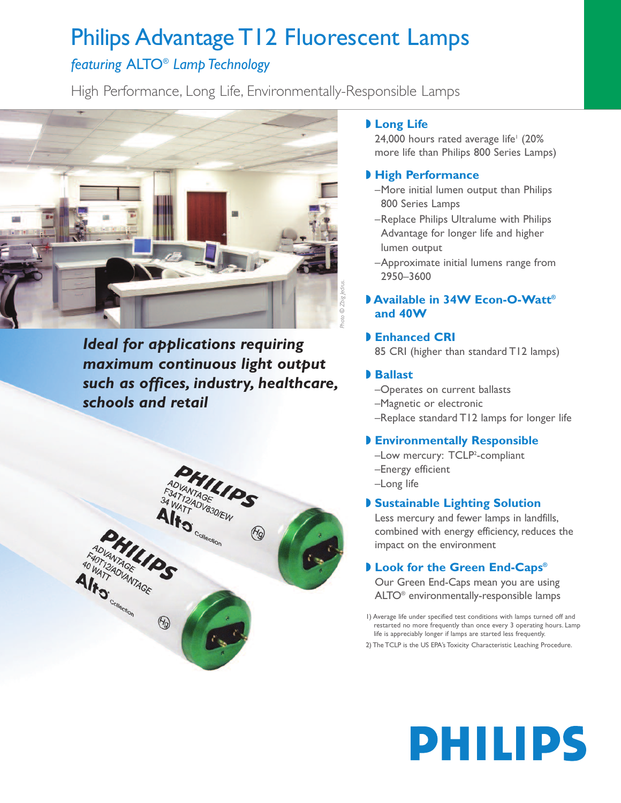## Philips Advantage T12 Fluorescent Lamps

### *featuring* ALTO® *Lamp Technology*

High Performance, Long Life, Environmentally-Responsible Lamps



*Ideal for applications requiring maximum continuous light output such as offices, industry, healthcare, schools and retail*



#### **◗ Long Life**

24,000 hours rated average life<sup>1</sup> (20% more life than Philips 800 Series Lamps)

#### **◗ High Performance**

- –More initial lumen output than Philips 800 Series Lamps
- –Replace Philips Ultralume with Philips Advantage for longer life and higher lumen output
- –Approximate initial lumens range from 2950–3600

#### **◗ Available in 34W Econ-O-Watt® and 40W**

#### **◗ Enhanced CRI**

85 CRI (higher than standard T12 lamps)

#### **◗ Ballast**

- –Operates on current ballasts
- –Magnetic or electronic
- –Replace standard T12 lamps for longer life

#### **◗ Environmentally Responsible**

- -Low mercury: TCLP<sup>2</sup>-compliant
- –Energy efficient
- –Long life

#### **◗ Sustainable Lighting Solution**

Less mercury and fewer lamps in landfills, combined with energy efficiency, reduces the impact on the environment

#### **◗ Look for the Green End-Caps®**

Our Green End-Caps mean you are using ALTO® environmentally-responsible lamps

1) Average life under specified test conditions with lamps turned off and restarted no more frequently than once every 3 operating hours. Lamp life is appreciably longer if lamps are started less frequently.

2) The TCLP is the US EPA's Toxicity Characteristic Leaching Procedure.

# **PHILIPS**